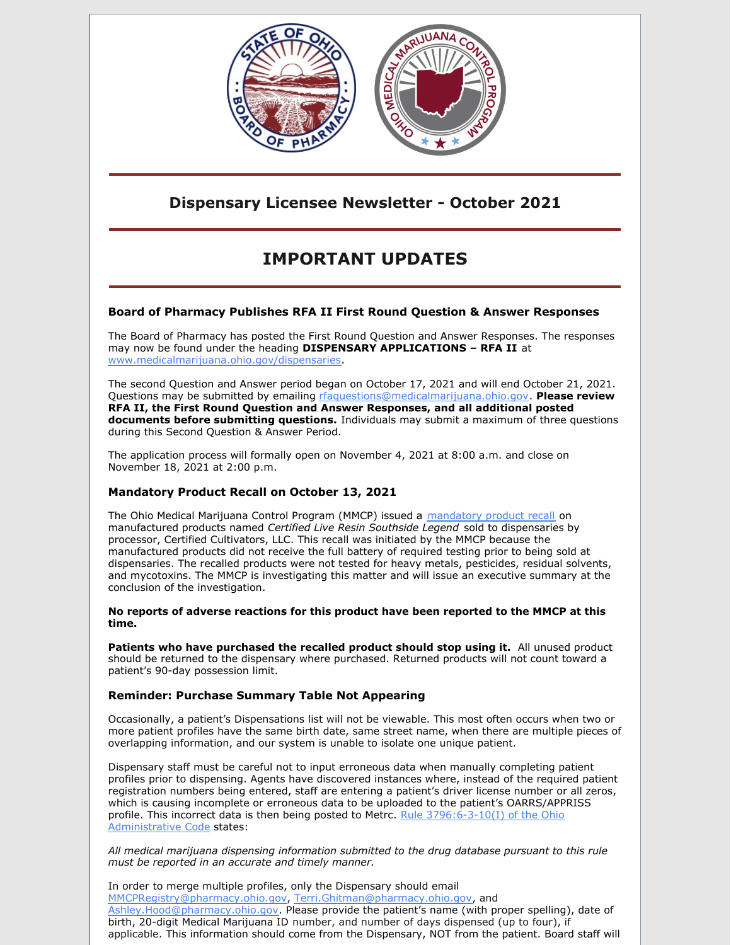

### **Dispensary Licensee Newsletter - October 2021**

# **IMPORTANT UPDATES**

### **Board of Pharmacy Publishes RFA II First Round Question & Answer Responses**

The Board of Pharmacy has posted the First Round Question and Answer Responses. The responses may now be found under the heading **DISPENSARY APPLICATIONS – RFA II** at [www.medicalmarijuana.ohio.gov/dispensaries](https://www.medicalmarijuana.ohio.gov/dispensaries).

The second Question and Answer period began on October 17, 2021 and will end October 21, 2021. Questions may be submitted by emailing [rfaquestions@medicalmarijuana.ohio.gov](mailto:rfaquestions@medicalmarijuana.ohio.gov). **Please review RFA II, the First Round Question and Answer Responses, and all additional posted documents before submitting questions.** Individuals may submit a maximum of three questions during this Second Question & Answer Period.

The application process will formally open on November 4, 2021 at 8:00 a.m. and close on November 18, 2021 at 2:00 p.m.

### **Mandatory Product Recall on October 13, 2021**

The Ohio Medical Marijuana Control Program (MMCP) issued a [mandatory](https://www.medicalmarijuana.ohio.gov/Documents/Recalls/Mandatory Product Recall - 10.13.2021.pdf) product recall on manufactured products named *Certified Live Resin Southside Legend* sold to dispensaries by processor, Certified Cultivators, LLC. This recall was initiated by the MMCP because the manufactured products did not receive the full battery of required testing prior to being sold at dispensaries. The recalled products were not tested for heavy metals, pesticides, residual solvents, and mycotoxins. The MMCP is investigating this matter and will issue an executive summary at the conclusion of the investigation.

**No reports of adverse reactions for this product have been reported to the MMCP at this time.**

**Patients who have purchased the recalled product should stop using it.** All unused product should be returned to the dispensary where purchased. Returned products will not count toward a patient's 90-day possession limit.

### **Reminder: Purchase Summary Table Not Appearing**

Occasionally, a patient's Dispensations list will not be viewable. This most often occurs when two or more patient profiles have the same birth date, same street name, when there are multiple pieces of overlapping information, and our system is unable to isolate one unique patient.

Dispensary staff must be careful not to input erroneous data when manually completing patient profiles prior to dispensing. Agents have discovered instances where, instead of the required patient registration numbers being entered, staff are entering a patient's driver license number or all zeros, which is causing incomplete or erroneous data to be uploaded to the patient's OARRS/APPRISS profile. This incorrect data is then being posted to Metrc. Rule [3796:6-3-10\(I\)](https://codes.ohio.gov/ohio-administrative-code/rule-3796:6-3-10) of the Ohio Administrative Code states:

*All medical marijuana dispensing information submitted to the drug database pursuant to this rule must be reported in an accurate and timely manner.*

In order to merge multiple profiles, only the Dispensary should email [MMCPRegistry@pharmacy.ohio.gov](mailto:MMCPRegistry@pharmacy.ohio.gov), [Terri.Ghitman@pharmacy.ohio.gov](mailto:Terri.Ghitman@pharmacy.ohio.gov), and [Ashley.Hood@pharmacy.ohio.gov](mailto:Ashley.Hood@pharmacy.ohio.gov). Please provide the patient's name (with proper spelling), date of birth, 20-digit Medical Marijuana ID number, and number of days dispensed (up to four), if applicable. This information should come from the Dispensary, NOT from the patient. Board staff will